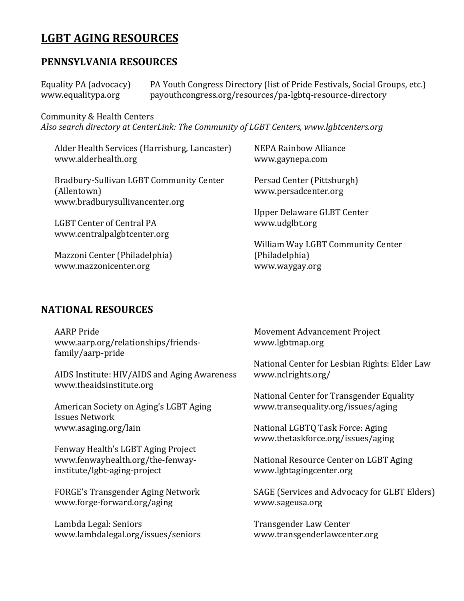# **LGBT AGING RESOURCES**

### **PENNSYLVANIA RESOURCES**

Equality PA (advocacy) PA Youth Congress Directory (list of Pride Festivals, Social Groups, etc.)<br>www.equalitypa.org payouthcongress.org/resources/pa-lgbtq-resource-directory payouthcongress.org/resources/pa-lgbtq-resource-directory

Community & Health Centers

*Also search directory at CenterLink: The Community of LGBT Centers, www.lgbtcenters.org*

| Alder Health Services (Harrisburg, Lancaster)                                            | <b>NEPA Rainbow Alliance</b>                                          |
|------------------------------------------------------------------------------------------|-----------------------------------------------------------------------|
| www.alderhealth.org                                                                      | www.gaynepa.com                                                       |
| Bradbury-Sullivan LGBT Community Center<br>(Allentown)<br>www.bradburysullivancenter.org | Persad Center (Pittsburgh)<br>www.persadcenter.org                    |
| LGBT Center of Central PA                                                                | Upper Delaware GLBT Center                                            |
| www.centralpalgbtcenter.org                                                              | www.udglbt.org                                                        |
| Mazzoni Center (Philadelphia)<br>www.mazzonicenter.org                                   | William Way LGBT Community Center<br>(Philadelphia)<br>www.waygay.org |

## **NATIONAL RESOURCES**

| <b>AARP</b> Pride<br>www.aarp.org/relationships/friends-<br>family/aarp-pride                          | Movement Advancement Project<br>www.lgbtmap.org                       |
|--------------------------------------------------------------------------------------------------------|-----------------------------------------------------------------------|
| AIDS Institute: HIV/AIDS and Aging Awareness                                                           | National Center for Lesbian Rights: Elder Law                         |
| www.theaidsinstitute.org                                                                               | www.nclrights.org/                                                    |
| American Society on Aging's LGBT Aging                                                                 | National Center for Transgender Equality                              |
| <b>Issues Network</b>                                                                                  | www.transequality.org/issues/aging                                    |
| www.asaging.org/lain                                                                                   | National LGBTQ Task Force: Aging<br>www.thetaskforce.org/issues/aging |
| Fenway Health's LGBT Aging Project<br>www.fenwayhealth.org/the-fenway-<br>institute/lgbt-aging-project | National Resource Center on LGBT Aging<br>www.lgbtagingcenter.org     |
| FORGE's Transgender Aging Network                                                                      | SAGE (Services and Advocacy for GLBT Elders)                          |
| www.forge-forward.org/aging                                                                            | www.sageusa.org                                                       |
| Lambda Legal: Seniors                                                                                  | Transgender Law Center                                                |
| www.lambdalegal.org/issues/seniors                                                                     | www.transgenderlawcenter.org                                          |